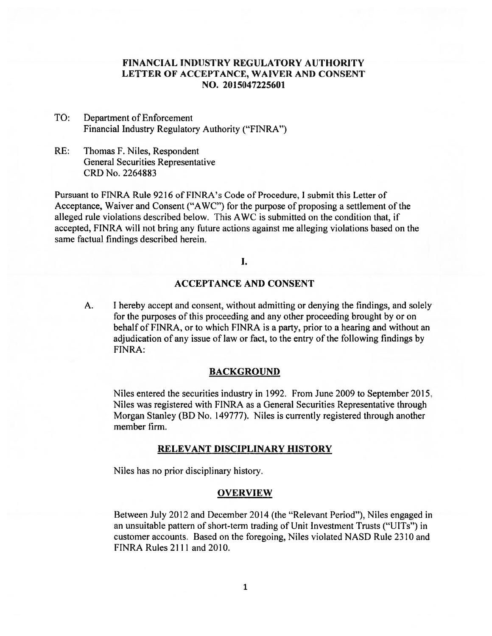# **FINANCIAL INDUSTRY REGULATORY AUTHORITY LETTER OF ACCEPTANCE, WAIVER AND CONSENT NO. 2015047225601**

- TO: Department of Enforcement Financial Industry Regulatory Authority ("FINRA")
- RE: Thomas F. Niles, Respondent General Securities Representative CRD No. 2264883

Pursuant to FINRA Rule 9216 of FINRA's Code of Procedure, I submit this Letter of Acceptance, Waiver and Consent ("AWC") for the purpose of proposing a settlement of the alleged rule violations described below. This AWC is submitted on the condition that, if accepted, FINRA will not bring any future actions against me alleging violations based on the same factual findings described herein.

## I.

## **ACCEPTANCE AND CONSENT**

A. I hereby accept and consent, without admitting or denying the findings, and solely for the purposes of this proceeding and any other proceeding brought by or on behalf of FINRA, or to which FINRA is a party, prior to a hearing and without an adjudication of any issue of law or fact, to the entry of the following findings by FINRA:

#### **BACKGROUND**

Niles entered the securities industry in 1992. From June 2009 to September 2015 Niles was registered with FINRA as a General Securities Representative through Morgan Stanley (BD No. 149777). Niles is currently registered through another member firm.

#### **RELEVANT DISCIPLINARY HISTORY**

Niles has no prior disciplinary history.

#### **OVERVIEW**

Between July 2012 and December 2014 (the "Relevant Period"), Niles engaged in an unsuitable pattern of short-term trading of Unit Investment Trusts ("UITs") in customer accounts. Based on the foregoing, Niles violated NASD Rule 2310 and FINRA Rules 2111 and 2010.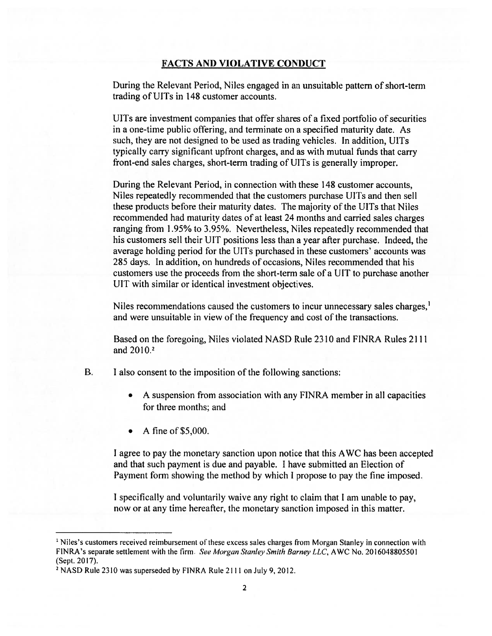### **FACTS AND VIOLATIVE CONDUCT**

During the Relevant Period, Niles engaged in an unsuitable pattern of short-term trading of UlTs in 148 customer accounts.

UITs are investment companies that offer shares of a fixed portfolio of securities in a one-time public offering, and terminate on a specified maturity date. As such, they are not designed to be used as trading vehicles. In addition, UITs typically carry significant upfront charges, and as with mutual funds that carry front-end sales charges, short-term trading of UlTs is generally improper.

During the Relevant Period, in connection with these 148 customer accounts, Niles repeatedly recommended that the customers purchase UlTs and then sell these products before their maturity dates. The majority of the UlTs that Niles recommended had maturity dates of at least 24 months and carried sales charges ranging from 1.95% to 3.95%. Nevertheless, Niles repeatedly recommended that his customers sell their UIT positions less than a year after purchase. Indeed, the average holding period for the UITs purchased in these customers' accounts was 285 days. In addition, on hundreds of occasions, Niles recommended that his customers use the proceeds from the short-term sale of a UIT to purchase another UIT with similar or identical investment objectives.

Niles recommendations caused the customers to incur unnecessary sales charges.<sup>1</sup> and were unsuitable in view of the frequency and cost of the transactions.

Based on the foregoing, Niles violated NASD Rule 2310 and FINRA Rules 2111 and 2010.<sup>2</sup>

- $B<sub>1</sub>$ I also consent to the imposition of the following sanctions:
	- A suspension from association with any FINRA member in all capacities for three months; and
	- A fine of  $$5,000$ .

I agree to pay the monetary sanction upon notice that this AWC has been accepted and that such payment is due and payable. I have submitted an Election of Payment form showing the method by which I propose to pay the fine imposed

I specifically and voluntarily waive any right to claim that I am unable to pay, now or at any time hereafter, the monetary sanction imposed in this matter.

<sup>&</sup>lt;sup>1</sup> Niles's customers received reimbursement of these excess sales charges from Morgan Stanley in connection with FINRA's separate settlement with the firm. See Morgan Stanley Smith Barney LLC, AWC No. 2016048805501 (Sept. 2017).

<sup>2</sup>NASD Rule 2310 was superseded by FINRA Rule 2111 on July 9, 2012.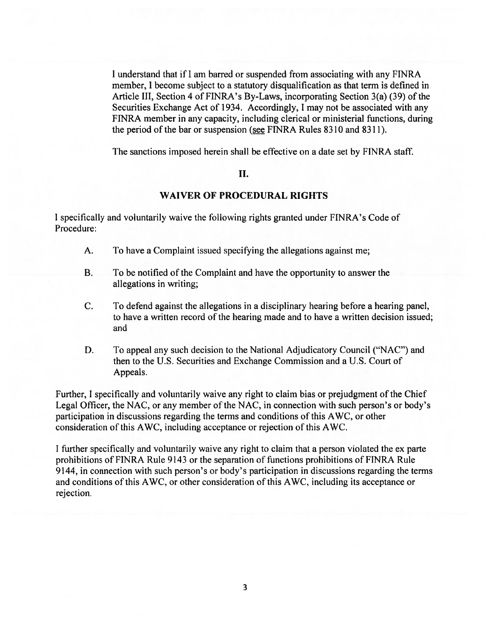I understand that if I am barred or suspended from associating with any FINRA member, I become subject to a statutory disqualification as that term is defined in Article III, Section 4 of FINRA's By-Laws, incorporating Section 3(a) (39) of the Securities Exchange Act of 1934. Accordingly, I may not be associated with any FINRA member in any capacity, including clerical or ministerial functions, during the period of the bar or suspension (see FINRA Rules 8310 and 8311).

The sanctions imposed herein shall be effective on a date set by FINRA staff.

## II.

### **WAIVER OF PROCEDURAL RIGHTS**

I specifically and voluntarily waive the following rights granted under FINRA's Code of Procedure:

- A. To have a Complaint issued specifying the allegations against me;
- B. To be notified of the Complaint and have the opportunity to answer the allegations in writing;
- C. To defend against the allegations in a disciplinary hearing before a hearing panel, to have a written record of the hearing made and to have a written decision issued; and
- D. To appeal any such decision to the National Adjudicatory Council ("NAC") and then to the U.S. Securities and Exchange Commission and a U.S. Court of Appeals.

Further, I specifically and voluntarily waive any right to claim bias or prejudgment of the Chief Legal Officer, the NAC, or any member of the NAC, in connection with such person's or body's participation in discussions regarding the terms and conditions of this AWC, or other consideration of this AWC, including acceptance or rejection of this AWC.

I further specifically and voluntarily waive any right to claim that a person violated the ex parte prohibitions of FINRA Rule 9143 or the separation of functions prohibitions of FINRA Rule 9144, in connection with such person's or body's participation in discussions regarding the terms and conditions of this AWC, or other consideration of this AWC, including its acceptance or rejection.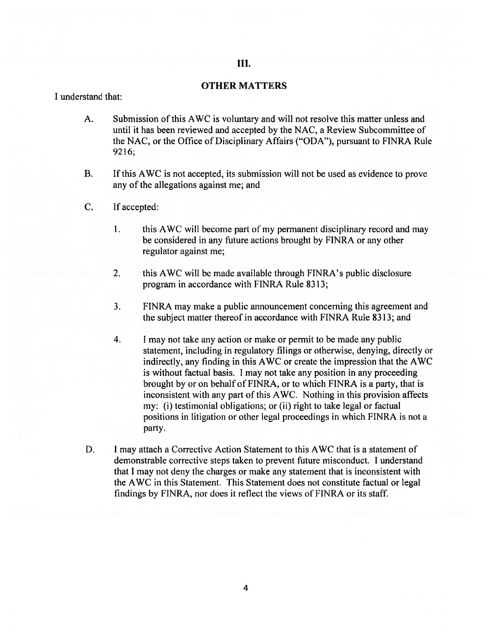### Ш.

## OTHER MATTERS

I understand that:

- A. Submission of this AWC is voluntary and will not resolve this matter unless and until it has been reviewed and accepted by the NAC, a Review Subcommittee of the NAC, or the Office of Disciplinary Affairs ("ODA"), pursuant to FINRA Rule 9216;
- B. If this AWC is not accepted, its submission will not be used as evidence to prove any of the allegations against me; and
- C. If accepted:
	- 1. this AWC will become part of my permanent disciplinary record and may be considered in any future actions brought by FINRA or any other regulator against me;
	- 2. this AWC will be made available through FINRA's public disclosure program in accordance with FINRA Rule 8313;
	- 3. FINRA may make a public announcement concerning this agreement and the subject matter thereof in accordance with FINRA Rule 8313; and
	- 4. I may not take any action or make or permit to be made any public statement, including in regulatory filings or otherwise, denying, directly or indirectly, any finding in this AWC or create the impression that the AWC is without factual basis. I may not take any position in any proceeding brought by or on behalf of FINRA, or to which FINRA is a party, that is inconsistent with any part of this AWC. Nothing in this provision affects my: (i) testimonial obligations; or (ii) right to take legal or factual positions in litigation or other legal proceedings in which FINRA is not a party.
- D. I may attach a Corrective Action Statement to this AWC that is a statement of demonstrable corrective steps taken to prevent future misconduct. I understand that I may not deny the charges or make any statement that is inconsistent with the AWC in this Statement. This Statement does not constitute factual or legal findings by FINRA, nor does it reflect the views of FINRA or its staff.